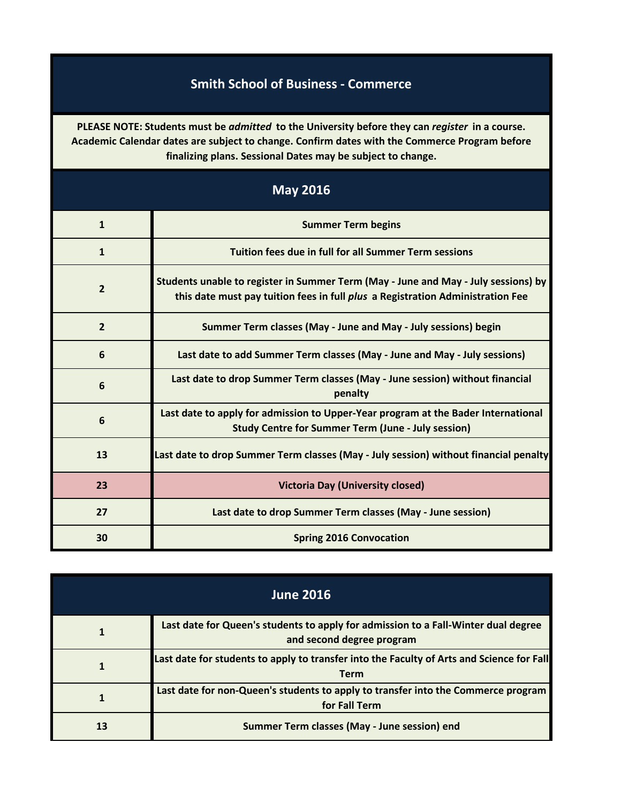## **Smith School of Business - Commerce**

**PLEASE NOTE: Students must be** *admitted* **to the University before they can** *register* **in a course. Academic Calendar dates are subject to change. Confirm dates with the Commerce Program before finalizing plans. Sessional Dates may be subject to change.**

| <b>May 2016</b> |                                                                                                                                                                             |
|-----------------|-----------------------------------------------------------------------------------------------------------------------------------------------------------------------------|
| $\mathbf{1}$    | <b>Summer Term begins</b>                                                                                                                                                   |
| $\mathbf{1}$    | <b>Tuition fees due in full for all Summer Term sessions</b>                                                                                                                |
| $\overline{2}$  | Students unable to register in Summer Term (May - June and May - July sessions) by<br>this date must pay tuition fees in full <i>plus</i> a Registration Administration Fee |
| $\overline{2}$  | Summer Term classes (May - June and May - July sessions) begin                                                                                                              |
| 6               | Last date to add Summer Term classes (May - June and May - July sessions)                                                                                                   |
| 6               | Last date to drop Summer Term classes (May - June session) without financial<br>penalty                                                                                     |
| 6               | Last date to apply for admission to Upper-Year program at the Bader International<br><b>Study Centre for Summer Term (June - July session)</b>                              |
| 13              | Last date to drop Summer Term classes (May - July session) without financial penalty                                                                                        |
| 23              | <b>Victoria Day (University closed)</b>                                                                                                                                     |
| 27              | Last date to drop Summer Term classes (May - June session)                                                                                                                  |
| 30              | <b>Spring 2016 Convocation</b>                                                                                                                                              |

| <b>June 2016</b> |                                                                                                                 |
|------------------|-----------------------------------------------------------------------------------------------------------------|
|                  | Last date for Queen's students to apply for admission to a Fall-Winter dual degree<br>and second degree program |
|                  | Last date for students to apply to transfer into the Faculty of Arts and Science for Fall<br><b>Term</b>        |
|                  | Last date for non-Queen's students to apply to transfer into the Commerce program<br>for Fall Term              |
| 13               | <b>Summer Term classes (May - June session) end</b>                                                             |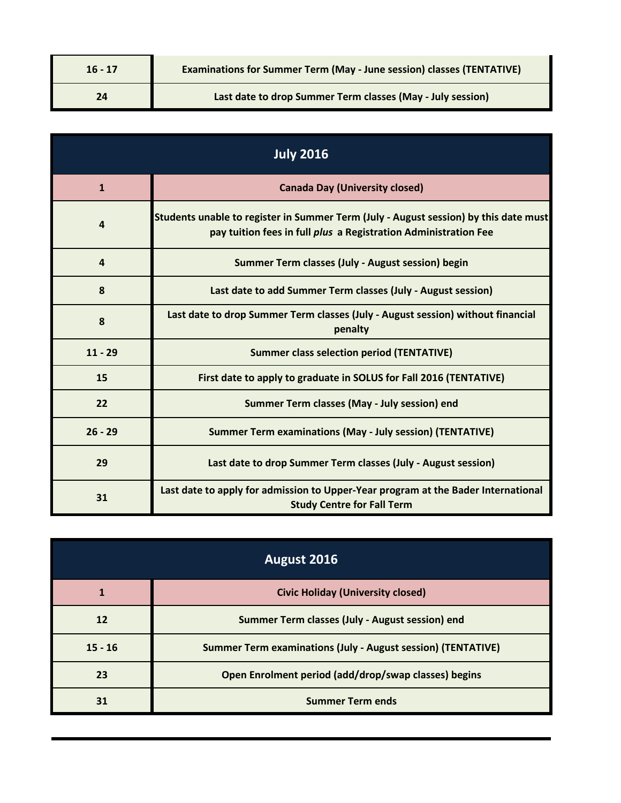| $16 - 17$ | <b>Examinations for Summer Term (May - June session) classes (TENTATIVE)</b> |
|-----------|------------------------------------------------------------------------------|
| 24        | Last date to drop Summer Term classes (May - July session)                   |

| <b>July 2016</b> |                                                                                                                                                         |
|------------------|---------------------------------------------------------------------------------------------------------------------------------------------------------|
| $\mathbf{1}$     | <b>Canada Day (University closed)</b>                                                                                                                   |
| 4                | Students unable to register in Summer Term (July - August session) by this date must<br>pay tuition fees in full plus a Registration Administration Fee |
| 4                | Summer Term classes (July - August session) begin                                                                                                       |
| 8                | Last date to add Summer Term classes (July - August session)                                                                                            |
| 8                | Last date to drop Summer Term classes (July - August session) without financial<br>penalty                                                              |
| $11 - 29$        | <b>Summer class selection period (TENTATIVE)</b>                                                                                                        |
| 15               | First date to apply to graduate in SOLUS for Fall 2016 (TENTATIVE)                                                                                      |
| 22               | Summer Term classes (May - July session) end                                                                                                            |
| $26 - 29$        | <b>Summer Term examinations (May - July session) (TENTATIVE)</b>                                                                                        |
| 29               | Last date to drop Summer Term classes (July - August session)                                                                                           |
| 31               | Last date to apply for admission to Upper-Year program at the Bader International<br><b>Study Centre for Fall Term</b>                                  |

| August 2016 |                                                                     |
|-------------|---------------------------------------------------------------------|
|             | <b>Civic Holiday (University closed)</b>                            |
| 12          | Summer Term classes (July - August session) end                     |
| $15 - 16$   | <b>Summer Term examinations (July - August session) (TENTATIVE)</b> |
| 23          | Open Enrolment period (add/drop/swap classes) begins                |
| 31          | <b>Summer Term ends</b>                                             |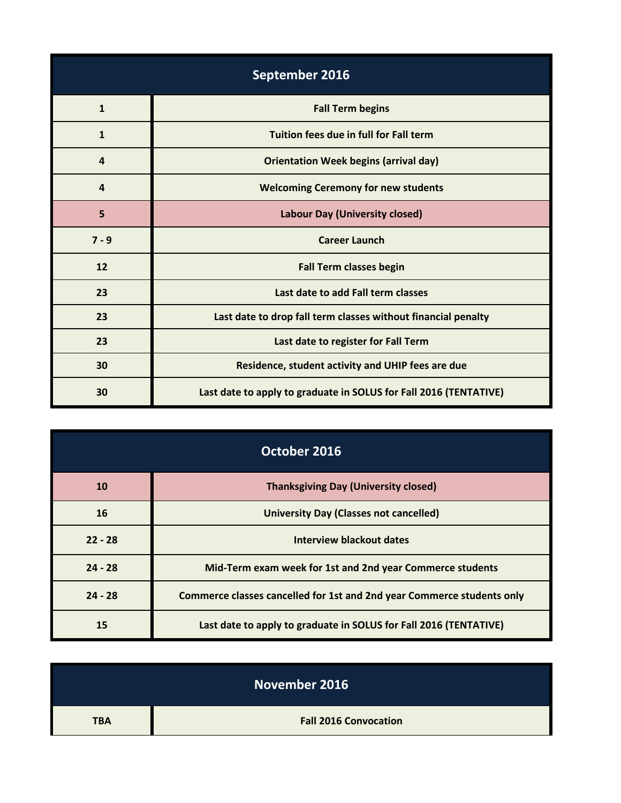| September 2016   |                                                                   |
|------------------|-------------------------------------------------------------------|
| $\mathbf{1}$     | <b>Fall Term begins</b>                                           |
| $\mathbf{1}$     | Tuition fees due in full for Fall term                            |
| $\overline{a}$   | <b>Orientation Week begins (arrival day)</b>                      |
| $\boldsymbol{4}$ | <b>Welcoming Ceremony for new students</b>                        |
| 5                | Labour Day (University closed)                                    |
| $7 - 9$          | <b>Career Launch</b>                                              |
| 12               | <b>Fall Term classes begin</b>                                    |
| 23               | Last date to add Fall term classes                                |
| 23               | Last date to drop fall term classes without financial penalty     |
| 23               | Last date to register for Fall Term                               |
| 30               | Residence, student activity and UHIP fees are due                 |
| 30               | Last date to apply to graduate in SOLUS for Fall 2016 (TENTATIVE) |

| October 2016 |                                                                        |
|--------------|------------------------------------------------------------------------|
| <b>10</b>    | <b>Thanksgiving Day (University closed)</b>                            |
| 16           | <b>University Day (Classes not cancelled)</b>                          |
| $22 - 28$    | Interview blackout dates                                               |
| $24 - 28$    | Mid-Term exam week for 1st and 2nd year Commerce students              |
| $24 - 28$    | Commerce classes cancelled for 1st and 2nd year Commerce students only |
| 15           | Last date to apply to graduate in SOLUS for Fall 2016 (TENTATIVE)      |

|            | November 2016                |
|------------|------------------------------|
| <b>TBA</b> | <b>Fall 2016 Convocation</b> |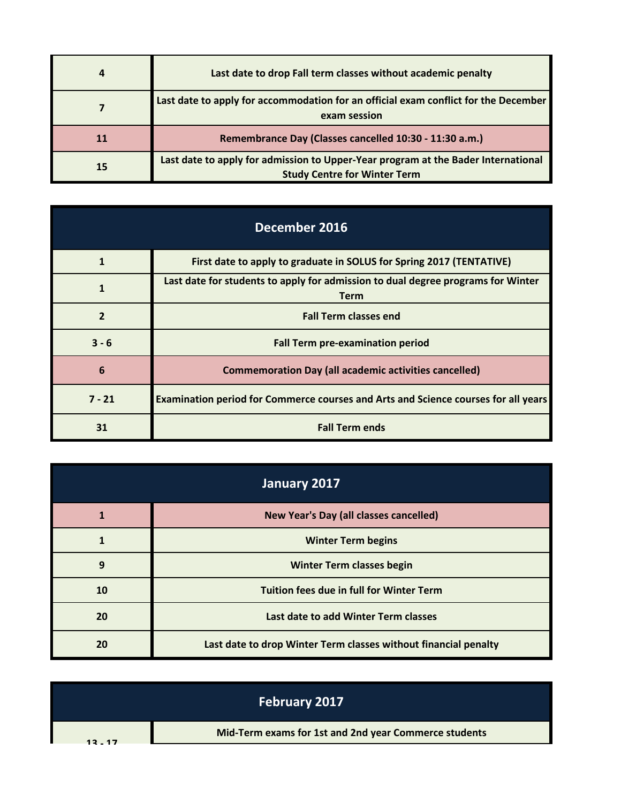| 4         | Last date to drop Fall term classes without academic penalty                                                             |
|-----------|--------------------------------------------------------------------------------------------------------------------------|
|           | Last date to apply for accommodation for an official exam conflict for the December<br>exam session                      |
|           | Remembrance Day (Classes cancelled 10:30 - 11:30 a.m.)                                                                   |
| <b>15</b> | Last date to apply for admission to Upper-Year program at the Bader International<br><b>Study Centre for Winter Term</b> |

| December 2016 |                                                                                                 |
|---------------|-------------------------------------------------------------------------------------------------|
| 1             | First date to apply to graduate in SOLUS for Spring 2017 (TENTATIVE)                            |
|               | Last date for students to apply for admission to dual degree programs for Winter<br><b>Term</b> |
| $\mathbf{z}$  | <b>Fall Term classes end</b>                                                                    |
| $3 - 6$       | <b>Fall Term pre-examination period</b>                                                         |
| 6             | <b>Commemoration Day (all academic activities cancelled)</b>                                    |
| $7 - 21$      | Examination period for Commerce courses and Arts and Science courses for all years              |
| 31            | <b>Fall Term ends</b>                                                                           |

| January 2017 |                                                                 |
|--------------|-----------------------------------------------------------------|
|              | New Year's Day (all classes cancelled)                          |
|              | <b>Winter Term begins</b>                                       |
| 9            | <b>Winter Term classes begin</b>                                |
| 10           | <b>Tuition fees due in full for Winter Term</b>                 |
| 20           | Last date to add Winter Term classes                            |
| 20           | Last date to drop Winter Term classes without financial penalty |

|           | <b>February 2017</b>                                  |
|-----------|-------------------------------------------------------|
| $12 - 17$ | Mid-Term exams for 1st and 2nd year Commerce students |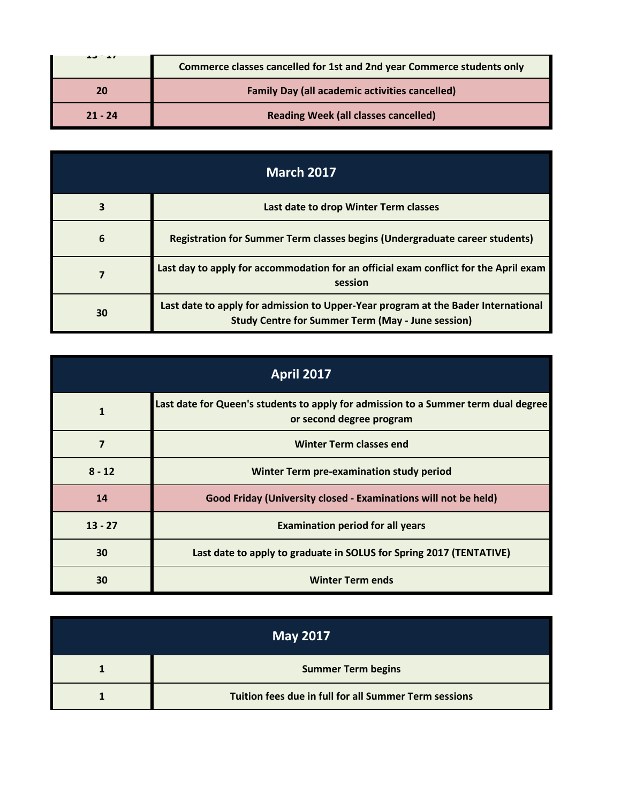| $13 - 11$ | Commerce classes cancelled for 1st and 2nd year Commerce students only |  |  |
|-----------|------------------------------------------------------------------------|--|--|
| 20        | <b>Family Day (all academic activities cancelled)</b>                  |  |  |
| $21 - 24$ | <b>Reading Week (all classes cancelled)</b>                            |  |  |

| <b>March 2017</b> |                                                                                                                                               |  |
|-------------------|-----------------------------------------------------------------------------------------------------------------------------------------------|--|
| 3                 | Last date to drop Winter Term classes                                                                                                         |  |
| 6                 | <b>Registration for Summer Term classes begins (Undergraduate career students)</b>                                                            |  |
|                   | Last day to apply for accommodation for an official exam conflict for the April exam<br>session                                               |  |
| 30                | Last date to apply for admission to Upper-Year program at the Bader International<br><b>Study Centre for Summer Term (May - June session)</b> |  |

| <b>April 2017</b> |                                                                                                                |  |
|-------------------|----------------------------------------------------------------------------------------------------------------|--|
| 1                 | Last date for Queen's students to apply for admission to a Summer term dual degree<br>or second degree program |  |
| 7                 | <b>Winter Term classes end</b>                                                                                 |  |
| $8 - 12$          | Winter Term pre-examination study period                                                                       |  |
| 14                | Good Friday (University closed - Examinations will not be held)                                                |  |
| $13 - 27$         | <b>Examination period for all years</b>                                                                        |  |
| 30                | Last date to apply to graduate in SOLUS for Spring 2017 (TENTATIVE)                                            |  |
| 30                | <b>Winter Term ends</b>                                                                                        |  |

| <b>May 2017</b> |                                                       |  |
|-----------------|-------------------------------------------------------|--|
|                 | <b>Summer Term begins</b>                             |  |
|                 | Tuition fees due in full for all Summer Term sessions |  |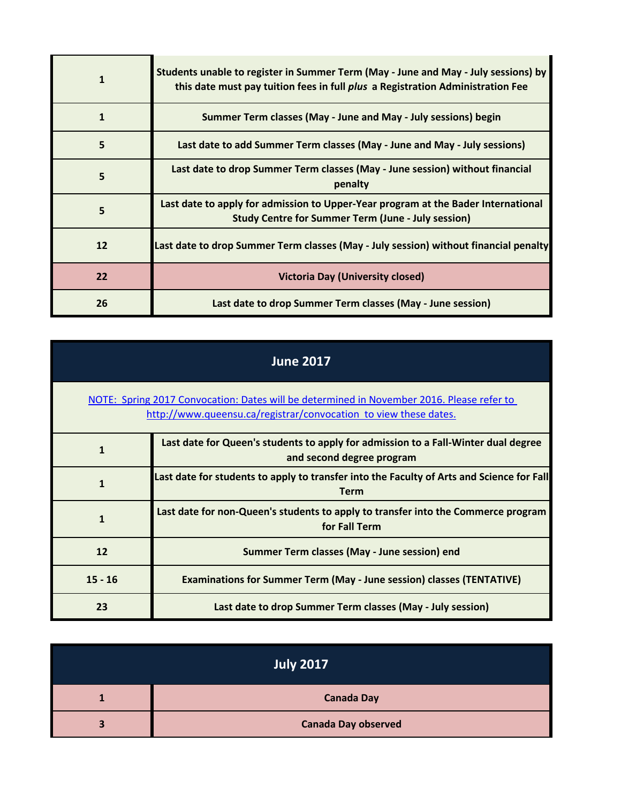|    | Students unable to register in Summer Term (May - June and May - July sessions) by<br>this date must pay tuition fees in full plus a Registration Administration Fee |  |  |
|----|----------------------------------------------------------------------------------------------------------------------------------------------------------------------|--|--|
| 1  | Summer Term classes (May - June and May - July sessions) begin                                                                                                       |  |  |
| 5  | Last date to add Summer Term classes (May - June and May - July sessions)                                                                                            |  |  |
| 5  | Last date to drop Summer Term classes (May - June session) without financial<br>penalty                                                                              |  |  |
| 5  | Last date to apply for admission to Upper-Year program at the Bader International<br><b>Study Centre for Summer Term (June - July session)</b>                       |  |  |
| 12 | Last date to drop Summer Term classes (May - July session) without financial penalty                                                                                 |  |  |
| 22 | <b>Victoria Day (University closed)</b>                                                                                                                              |  |  |
| 26 | Last date to drop Summer Term classes (May - June session)                                                                                                           |  |  |

| <b>June 2017</b>                                                                                                                                              |                                                                                                                 |  |
|---------------------------------------------------------------------------------------------------------------------------------------------------------------|-----------------------------------------------------------------------------------------------------------------|--|
| NOTE: Spring 2017 Convocation: Dates will be determined in November 2016. Please refer to<br>http://www.queensu.ca/registrar/convocation to view these dates. |                                                                                                                 |  |
|                                                                                                                                                               | Last date for Queen's students to apply for admission to a Fall-Winter dual degree<br>and second degree program |  |
|                                                                                                                                                               | Last date for students to apply to transfer into the Faculty of Arts and Science for Fall<br><b>Term</b>        |  |
| $\mathbf{1}$                                                                                                                                                  | Last date for non-Queen's students to apply to transfer into the Commerce program<br>for Fall Term              |  |
| 12                                                                                                                                                            | Summer Term classes (May - June session) end                                                                    |  |
| $15 - 16$                                                                                                                                                     | <b>Examinations for Summer Term (May - June session) classes (TENTATIVE)</b>                                    |  |
| 23                                                                                                                                                            | Last date to drop Summer Term classes (May - July session)                                                      |  |

| <b>July 2017</b> |                            |  |
|------------------|----------------------------|--|
|                  | <b>Canada Day</b>          |  |
|                  | <b>Canada Day observed</b> |  |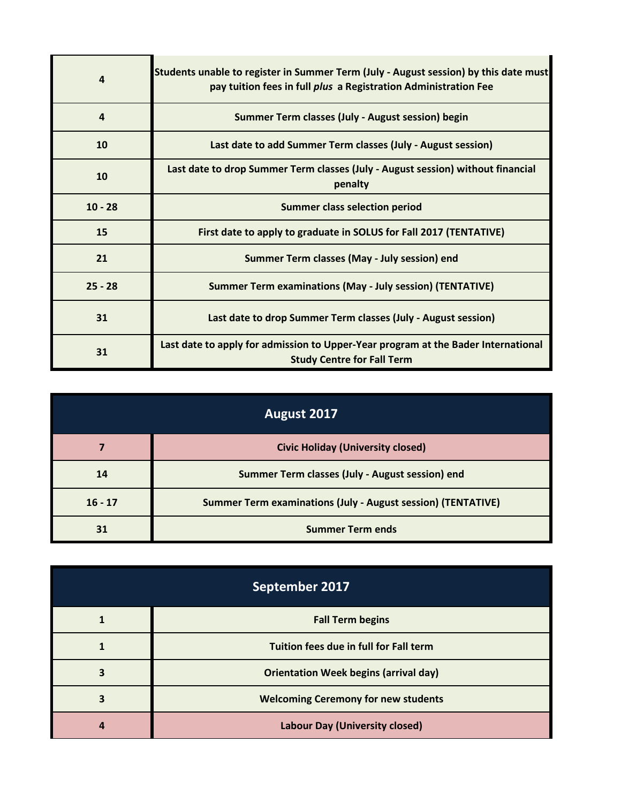| 4         | Students unable to register in Summer Term (July - August session) by this date must<br>pay tuition fees in full plus a Registration Administration Fee |  |  |  |
|-----------|---------------------------------------------------------------------------------------------------------------------------------------------------------|--|--|--|
| $\Delta$  | Summer Term classes (July - August session) begin                                                                                                       |  |  |  |
| 10        | Last date to add Summer Term classes (July - August session)                                                                                            |  |  |  |
| 10        | Last date to drop Summer Term classes (July - August session) without financial<br>penalty                                                              |  |  |  |
| $10 - 28$ | <b>Summer class selection period</b>                                                                                                                    |  |  |  |
| 15        | First date to apply to graduate in SOLUS for Fall 2017 (TENTATIVE)                                                                                      |  |  |  |
| 21        | Summer Term classes (May - July session) end                                                                                                            |  |  |  |
| $25 - 28$ | <b>Summer Term examinations (May - July session) (TENTATIVE)</b>                                                                                        |  |  |  |
| 31        | Last date to drop Summer Term classes (July - August session)                                                                                           |  |  |  |
| 31        | Last date to apply for admission to Upper-Year program at the Bader International<br><b>Study Centre for Fall Term</b>                                  |  |  |  |

| August 2017 |                                                                     |  |
|-------------|---------------------------------------------------------------------|--|
|             | <b>Civic Holiday (University closed)</b>                            |  |
| 14          | Summer Term classes (July - August session) end                     |  |
| $16 - 17$   | <b>Summer Term examinations (July - August session) (TENTATIVE)</b> |  |
| 31          | <b>Summer Term ends</b>                                             |  |

| September 2017 |                                              |  |
|----------------|----------------------------------------------|--|
|                | <b>Fall Term begins</b>                      |  |
|                | Tuition fees due in full for Fall term       |  |
|                | <b>Orientation Week begins (arrival day)</b> |  |
|                | <b>Welcoming Ceremony for new students</b>   |  |
|                | <b>Labour Day (University closed)</b>        |  |